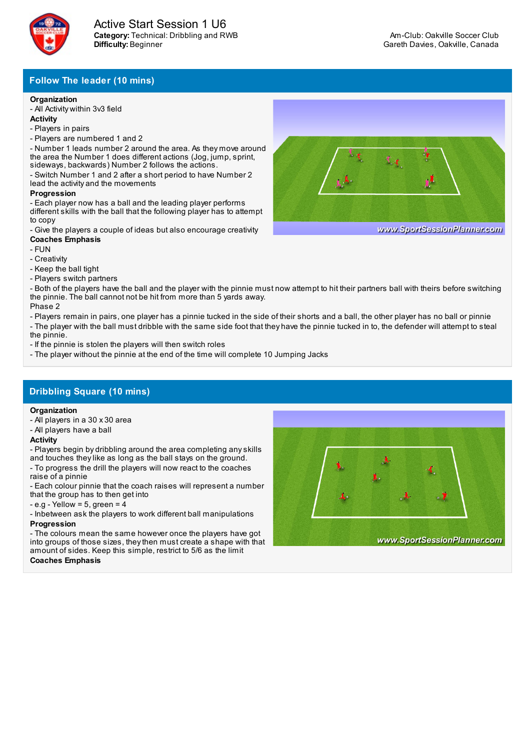

# **Follow The leader (10 mins)**

### **Organization**

- All Activity within 3v3 field

- **Activity**
- Players in pairs
- Players are numbered 1 and 2 - Number 1 leads number 2 around the area. As they move around the area the Number 1 does different actions (Jog, jump, sprint,
- sideways, backwards) Number 2 follows the actions.

- Switch Number 1 and 2 after a short period to have Number 2 lead the activity and the movements

### **Progression**

- Each player now has a ball and the leading player performs different skills with the ball that the following player has to attempt to copy

- Give the players a couple of ideas but also encourage creativity **Coaches Emphasis**

- FUN
- Creativity
- Keep the ball tight
- Players switch partners

- Both of the players have the ball and the player with the pinnie must now attempt to hit their partners ball with theirs before switching the pinnie. The ball cannot not be hit from more than 5 yards away. Phase 2

- Players remain in pairs, one player has a pinnie tucked in the side of their shorts and a ball, the other player has no ball or pinnie

- The player with the ball must dribble with the same side foot that they have the pinnie tucked in to, the defender will attempt to steal the pinnie.

- If the pinnie is stolen the players will then switch roles
- The player without the pinnie at the end of the time will complete 10 Jumping Jacks

# **Dribbling Square (10 mins)**

#### **Organization**

- All players in a 30 x 30 area
- All players have a ball

#### **Activity**

- Players begin by dribbling around the area completing anyskills and touches theylike as long as the ball stays on the ground.

- To progress the drill the players will now react to the coaches raise of a pinnie

- Each colour pinnie that the coach raises will represent a number that the group has to then get into

- $-e.g Yellow = 5, green = 4$
- Inbetween ask the players to work different ball manipulations **Progression**

- The colours mean the same however once the players have got into groups of those sizes, theythen must create a shape with that amount of sides. Keep this simple, restrict to 5/6 as the limit **Coaches Emphasis**





www.SportSessionPlanner.com